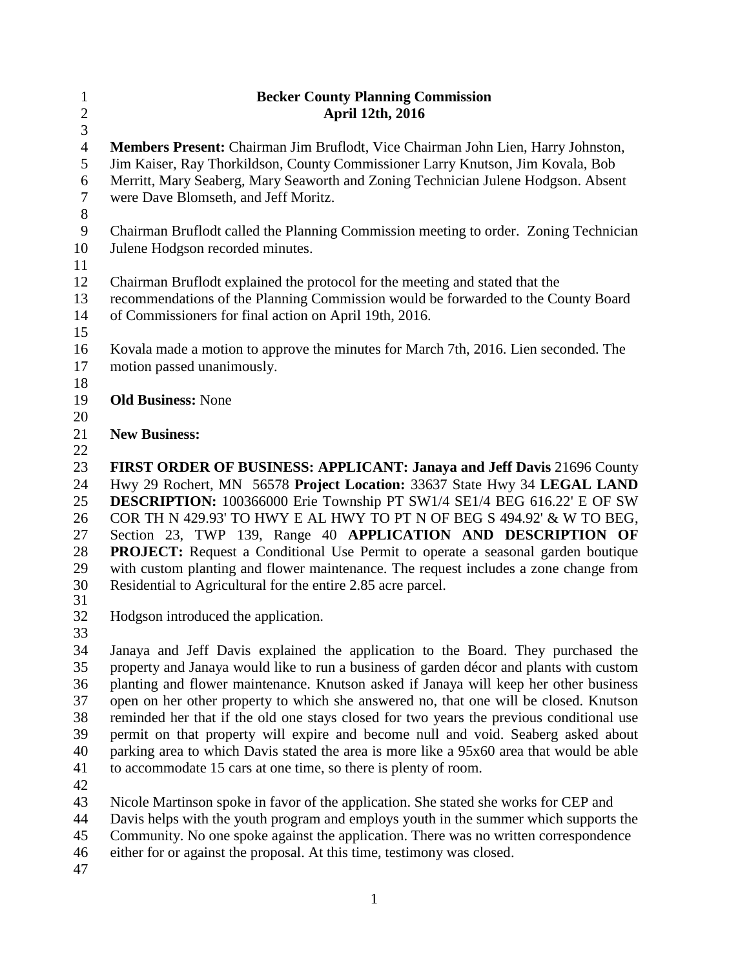| $\mathbf{1}$<br>$\sqrt{2}$<br>$\overline{3}$   | <b>Becker County Planning Commission</b><br>April 12th, 2016                                                                                                                                                                                                                                                                                                                                                                                                                                                                                                    |  |  |  |
|------------------------------------------------|-----------------------------------------------------------------------------------------------------------------------------------------------------------------------------------------------------------------------------------------------------------------------------------------------------------------------------------------------------------------------------------------------------------------------------------------------------------------------------------------------------------------------------------------------------------------|--|--|--|
| $\overline{4}$<br>$\mathfrak s$<br>6<br>$\tau$ | Members Present: Chairman Jim Bruflodt, Vice Chairman John Lien, Harry Johnston,<br>Jim Kaiser, Ray Thorkildson, County Commissioner Larry Knutson, Jim Kovala, Bob<br>Merritt, Mary Seaberg, Mary Seaworth and Zoning Technician Julene Hodgson. Absent<br>were Dave Blomseth, and Jeff Moritz.                                                                                                                                                                                                                                                                |  |  |  |
| $8\,$<br>9<br>10                               | Chairman Bruflodt called the Planning Commission meeting to order. Zoning Technician<br>Julene Hodgson recorded minutes.                                                                                                                                                                                                                                                                                                                                                                                                                                        |  |  |  |
| 11<br>12<br>13<br>14                           | Chairman Bruflodt explained the protocol for the meeting and stated that the<br>recommendations of the Planning Commission would be forwarded to the County Board<br>of Commissioners for final action on April 19th, 2016.                                                                                                                                                                                                                                                                                                                                     |  |  |  |
| 15<br>16<br>17<br>18                           | Kovala made a motion to approve the minutes for March 7th, 2016. Lien seconded. The<br>motion passed unanimously.                                                                                                                                                                                                                                                                                                                                                                                                                                               |  |  |  |
| 19<br>20                                       | <b>Old Business: None</b>                                                                                                                                                                                                                                                                                                                                                                                                                                                                                                                                       |  |  |  |
| 21<br>22                                       | <b>New Business:</b>                                                                                                                                                                                                                                                                                                                                                                                                                                                                                                                                            |  |  |  |
| 23<br>24<br>25<br>26<br>27<br>28<br>29         | FIRST ORDER OF BUSINESS: APPLICANT: Janaya and Jeff Davis 21696 County<br>Hwy 29 Rochert, MN 56578 Project Location: 33637 State Hwy 34 LEGAL LAND<br><b>DESCRIPTION:</b> 100366000 Erie Township PT SW1/4 SE1/4 BEG 616.22' E OF SW<br>COR TH N 429.93' TO HWY E AL HWY TO PT N OF BEG S 494.92' & W TO BEG,<br>Section 23, TWP 139, Range 40 APPLICATION AND DESCRIPTION OF<br><b>PROJECT:</b> Request a Conditional Use Permit to operate a seasonal garden boutique<br>with custom planting and flower maintenance. The request includes a zone change from |  |  |  |
| 30<br>31<br>32                                 | Residential to Agricultural for the entire 2.85 acre parcel.<br>Hodgson introduced the application.                                                                                                                                                                                                                                                                                                                                                                                                                                                             |  |  |  |
| 33<br>34                                       | Janaya and Jeff Davis explained the application to the Board. They purchased the                                                                                                                                                                                                                                                                                                                                                                                                                                                                                |  |  |  |
| 35<br>36<br>37<br>38<br>39                     | property and Janaya would like to run a business of garden décor and plants with custom<br>planting and flower maintenance. Knutson asked if Janaya will keep her other business<br>open on her other property to which she answered no, that one will be closed. Knutson<br>reminded her that if the old one stays closed for two years the previous conditional use<br>permit on that property will expire and become null and void. Seaberg asked about                                                                                                      |  |  |  |
| 40<br>41                                       | parking area to which Davis stated the area is more like a 95x60 area that would be able<br>to accommodate 15 cars at one time, so there is plenty of room.                                                                                                                                                                                                                                                                                                                                                                                                     |  |  |  |

Nicole Martinson spoke in favor of the application. She stated she works for CEP and

Davis helps with the youth program and employs youth in the summer which supports the

Community. No one spoke against the application. There was no written correspondence

either for or against the proposal. At this time, testimony was closed.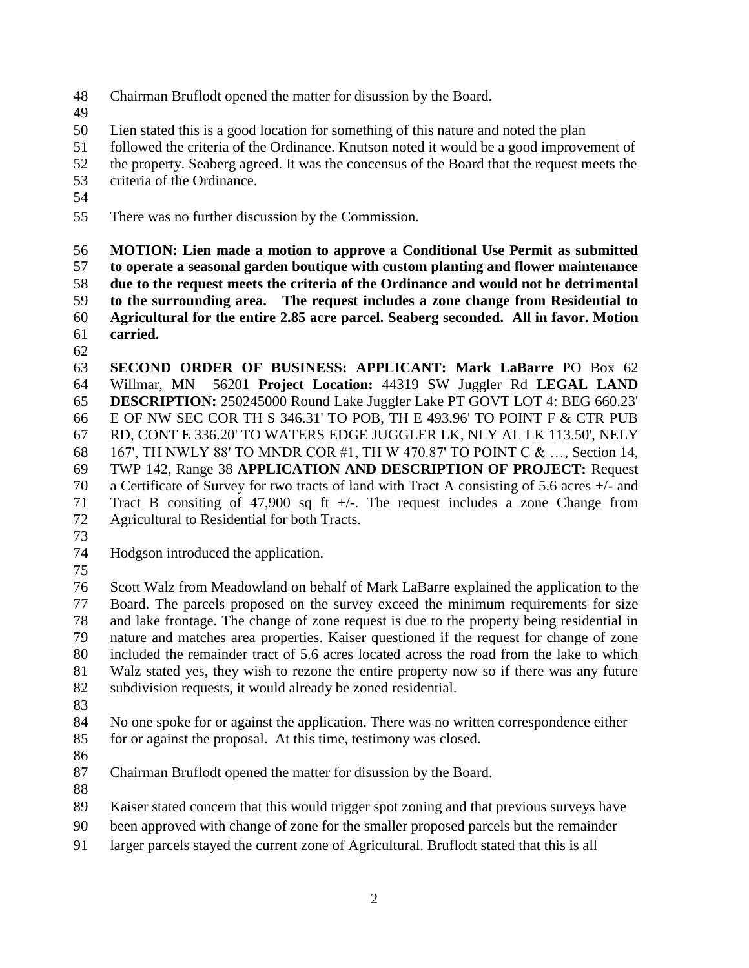- Chairman Bruflodt opened the matter for disussion by the Board.
- 
- Lien stated this is a good location for something of this nature and noted the plan
- followed the criteria of the Ordinance. Knutson noted it would be a good improvement of
- the property. Seaberg agreed. It was the concensus of the Board that the request meets the
- criteria of the Ordinance.
- 
- There was no further discussion by the Commission.

 **MOTION: Lien made a motion to approve a Conditional Use Permit as submitted to operate a seasonal garden boutique with custom planting and flower maintenance due to the request meets the criteria of the Ordinance and would not be detrimental to the surrounding area. The request includes a zone change from Residential to Agricultural for the entire 2.85 acre parcel. Seaberg seconded. All in favor. Motion carried.** 

 **SECOND ORDER OF BUSINESS: APPLICANT: Mark LaBarre** PO Box 62 Willmar, MN 56201 **Project Location:** 44319 SW Juggler Rd **LEGAL LAND DESCRIPTION:** 250245000 Round Lake Juggler Lake PT GOVT LOT 4: BEG 660.23' E OF NW SEC COR TH S 346.31' TO POB, TH E 493.96' TO POINT F & CTR PUB RD, CONT E 336.20' TO WATERS EDGE JUGGLER LK, NLY AL LK 113.50', NELY 167', TH NWLY 88' TO MNDR COR #1, TH W 470.87' TO POINT C & …, Section 14, TWP 142, Range 38 **APPLICATION AND DESCRIPTION OF PROJECT:** Request a Certificate of Survey for two tracts of land with Tract A consisting of 5.6 acres +/- and Tract B consiting of 47,900 sq ft +/-. The request includes a zone Change from Agricultural to Residential for both Tracts.

- 
- Hodgson introduced the application.
- 

 Scott Walz from Meadowland on behalf of Mark LaBarre explained the application to the Board. The parcels proposed on the survey exceed the minimum requirements for size and lake frontage. The change of zone request is due to the property being residential in nature and matches area properties. Kaiser questioned if the request for change of zone included the remainder tract of 5.6 acres located across the road from the lake to which Walz stated yes, they wish to rezone the entire property now so if there was any future subdivision requests, it would already be zoned residential.

 No one spoke for or against the application. There was no written correspondence either for or against the proposal. At this time, testimony was closed.

Chairman Bruflodt opened the matter for disussion by the Board.

Kaiser stated concern that this would trigger spot zoning and that previous surveys have

- been approved with change of zone for the smaller proposed parcels but the remainder
- larger parcels stayed the current zone of Agricultural. Bruflodt stated that this is all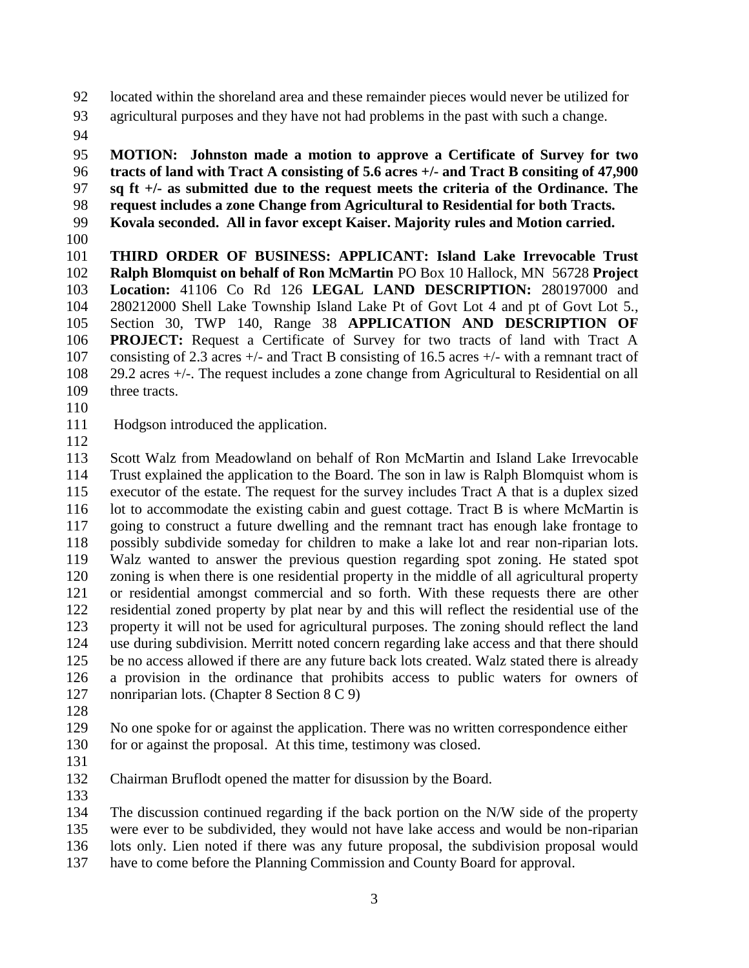located within the shoreland area and these remainder pieces would never be utilized for

- agricultural purposes and they have not had problems in the past with such a change.
- 

 **MOTION: Johnston made a motion to approve a Certificate of Survey for two tracts of land with Tract A consisting of 5.6 acres +/- and Tract B consiting of 47,900 sq ft +/- as submitted due to the request meets the criteria of the Ordinance. The** 

**request includes a zone Change from Agricultural to Residential for both Tracts.** 

- **Kovala seconded. All in favor except Kaiser. Majority rules and Motion carried.**
- 

 **THIRD ORDER OF BUSINESS: APPLICANT: Island Lake Irrevocable Trust Ralph Blomquist on behalf of Ron McMartin** PO Box 10 Hallock, MN 56728 **Project Location:** 41106 Co Rd 126 **LEGAL LAND DESCRIPTION:** 280197000 and 280212000 Shell Lake Township Island Lake Pt of Govt Lot 4 and pt of Govt Lot 5., Section 30, TWP 140, Range 38 **APPLICATION AND DESCRIPTION OF PROJECT:** Request a Certificate of Survey for two tracts of land with Tract A consisting of 2.3 acres +/- and Tract B consisting of 16.5 acres +/- with a remnant tract of 29.2 acres +/-. The request includes a zone change from Agricultural to Residential on all three tracts.

Hodgson introduced the application.

 Scott Walz from Meadowland on behalf of Ron McMartin and Island Lake Irrevocable Trust explained the application to the Board. The son in law is Ralph Blomquist whom is executor of the estate. The request for the survey includes Tract A that is a duplex sized lot to accommodate the existing cabin and guest cottage. Tract B is where McMartin is going to construct a future dwelling and the remnant tract has enough lake frontage to possibly subdivide someday for children to make a lake lot and rear non-riparian lots. Walz wanted to answer the previous question regarding spot zoning. He stated spot zoning is when there is one residential property in the middle of all agricultural property or residential amongst commercial and so forth. With these requests there are other residential zoned property by plat near by and this will reflect the residential use of the property it will not be used for agricultural purposes. The zoning should reflect the land use during subdivision. Merritt noted concern regarding lake access and that there should be no access allowed if there are any future back lots created. Walz stated there is already a provision in the ordinance that prohibits access to public waters for owners of nonriparian lots. (Chapter 8 Section 8 C 9)

 No one spoke for or against the application. There was no written correspondence either for or against the proposal. At this time, testimony was closed.

- 
- Chairman Bruflodt opened the matter for disussion by the Board.
- 

The discussion continued regarding if the back portion on the N/W side of the property

were ever to be subdivided, they would not have lake access and would be non-riparian

lots only. Lien noted if there was any future proposal, the subdivision proposal would

have to come before the Planning Commission and County Board for approval.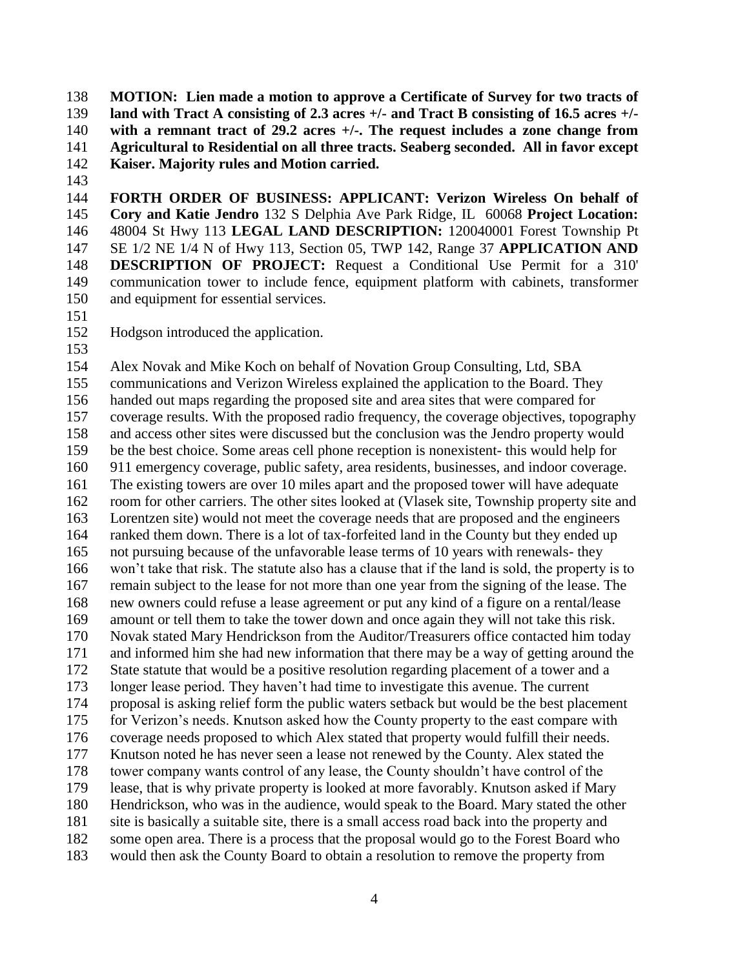**MOTION: Lien made a motion to approve a Certificate of Survey for two tracts of land with Tract A consisting of 2.3 acres +/- and Tract B consisting of 16.5 acres +/- with a remnant tract of 29.2 acres +/-. The request includes a zone change from Agricultural to Residential on all three tracts. Seaberg seconded. All in favor except Kaiser. Majority rules and Motion carried.** 

 **FORTH ORDER OF BUSINESS: APPLICANT: Verizon Wireless On behalf of Cory and Katie Jendro** 132 S Delphia Ave Park Ridge, IL 60068 **Project Location:** 48004 St Hwy 113 **LEGAL LAND DESCRIPTION:** 120040001 Forest Township Pt SE 1/2 NE 1/4 N of Hwy 113, Section 05, TWP 142, Range 37 **APPLICATION AND DESCRIPTION OF PROJECT:** Request a Conditional Use Permit for a 310' communication tower to include fence, equipment platform with cabinets, transformer and equipment for essential services.

Hodgson introduced the application.

 Alex Novak and Mike Koch on behalf of Novation Group Consulting, Ltd, SBA communications and Verizon Wireless explained the application to the Board. They handed out maps regarding the proposed site and area sites that were compared for coverage results. With the proposed radio frequency, the coverage objectives, topography and access other sites were discussed but the conclusion was the Jendro property would be the best choice. Some areas cell phone reception is nonexistent- this would help for 911 emergency coverage, public safety, area residents, businesses, and indoor coverage. The existing towers are over 10 miles apart and the proposed tower will have adequate room for other carriers. The other sites looked at (Vlasek site, Township property site and Lorentzen site) would not meet the coverage needs that are proposed and the engineers ranked them down. There is a lot of tax-forfeited land in the County but they ended up not pursuing because of the unfavorable lease terms of 10 years with renewals- they won't take that risk. The statute also has a clause that if the land is sold, the property is to remain subject to the lease for not more than one year from the signing of the lease. The new owners could refuse a lease agreement or put any kind of a figure on a rental/lease amount or tell them to take the tower down and once again they will not take this risk. Novak stated Mary Hendrickson from the Auditor/Treasurers office contacted him today and informed him she had new information that there may be a way of getting around the State statute that would be a positive resolution regarding placement of a tower and a longer lease period. They haven't had time to investigate this avenue. The current proposal is asking relief form the public waters setback but would be the best placement for Verizon's needs. Knutson asked how the County property to the east compare with coverage needs proposed to which Alex stated that property would fulfill their needs. Knutson noted he has never seen a lease not renewed by the County. Alex stated the tower company wants control of any lease, the County shouldn't have control of the lease, that is why private property is looked at more favorably. Knutson asked if Mary Hendrickson, who was in the audience, would speak to the Board. Mary stated the other site is basically a suitable site, there is a small access road back into the property and 182 some open area. There is a process that the proposal would go to the Forest Board who would then ask the County Board to obtain a resolution to remove the property from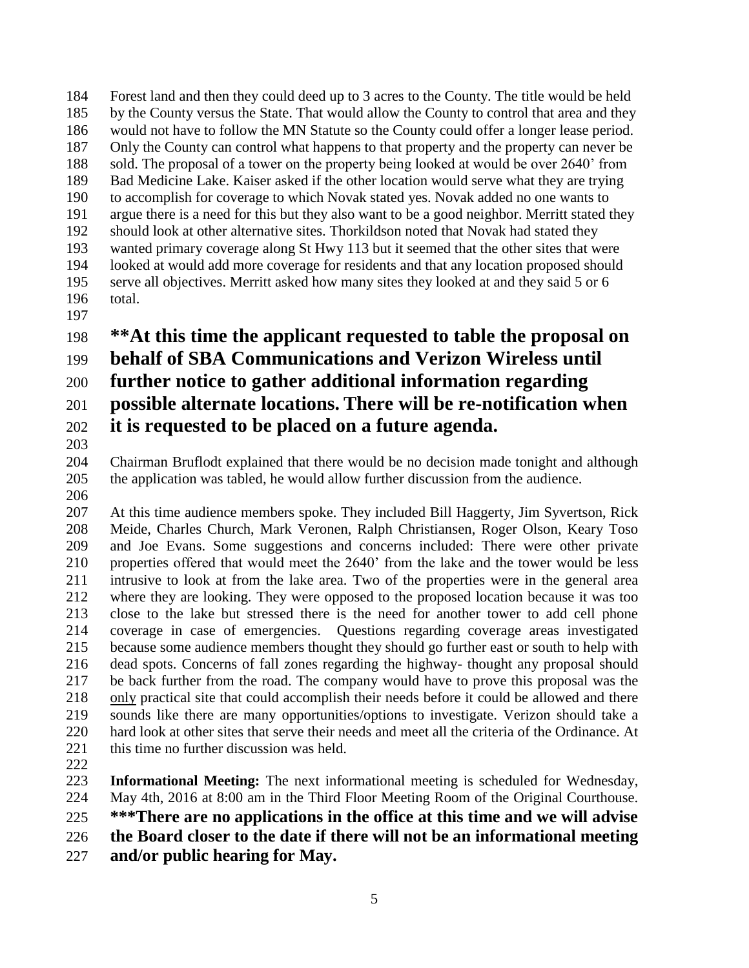Forest land and then they could deed up to 3 acres to the County. The title would be held by the County versus the State. That would allow the County to control that area and they would not have to follow the MN Statute so the County could offer a longer lease period. Only the County can control what happens to that property and the property can never be sold. The proposal of a tower on the property being looked at would be over 2640' from Bad Medicine Lake. Kaiser asked if the other location would serve what they are trying to accomplish for coverage to which Novak stated yes. Novak added no one wants to argue there is a need for this but they also want to be a good neighbor. Merritt stated they should look at other alternative sites. Thorkildson noted that Novak had stated they wanted primary coverage along St Hwy 113 but it seemed that the other sites that were looked at would add more coverage for residents and that any location proposed should serve all objectives. Merritt asked how many sites they looked at and they said 5 or 6 total.

## **\*\*At this time the applicant requested to table the proposal on**

# **behalf of SBA Communications and Verizon Wireless until**

### **further notice to gather additional information regarding**

# **possible alternate locations. There will be re-notification when it is requested to be placed on a future agenda.**

#### Chairman Bruflodt explained that there would be no decision made tonight and although the application was tabled, he would allow further discussion from the audience.

- At this time audience members spoke. They included Bill Haggerty, Jim Syvertson, Rick Meide, Charles Church, Mark Veronen, Ralph Christiansen, Roger Olson, Keary Toso and Joe Evans. Some suggestions and concerns included: There were other private properties offered that would meet the 2640' from the lake and the tower would be less intrusive to look at from the lake area. Two of the properties were in the general area where they are looking. They were opposed to the proposed location because it was too close to the lake but stressed there is the need for another tower to add cell phone coverage in case of emergencies. Questions regarding coverage areas investigated because some audience members thought they should go further east or south to help with dead spots. Concerns of fall zones regarding the highway- thought any proposal should be back further from the road. The company would have to prove this proposal was the only practical site that could accomplish their needs before it could be allowed and there sounds like there are many opportunities/options to investigate. Verizon should take a hard look at other sites that serve their needs and meet all the criteria of the Ordinance. At this time no further discussion was held.
- $\frac{222}{223}$

**Informational Meeting:** The next informational meeting is scheduled for Wednesday, May 4th, 2016 at 8:00 am in the Third Floor Meeting Room of the Original Courthouse.

**\*\*\*There are no applications in the office at this time and we will advise** 

**the Board closer to the date if there will not be an informational meeting** 

**and/or public hearing for May.**